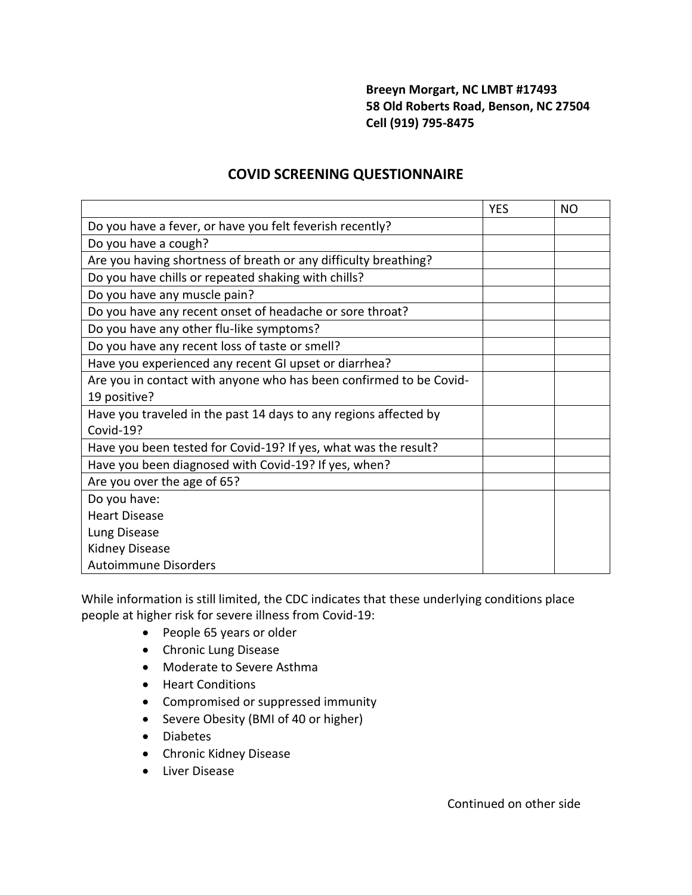## **Breeyn Morgart, NC LMBT #17493 58 Old Roberts Road, Benson, NC 27504 Cell (919) 795-8475**

## **COVID SCREENING QUESTIONNAIRE**

|                                                                    | <b>YES</b> | NO |
|--------------------------------------------------------------------|------------|----|
| Do you have a fever, or have you felt feverish recently?           |            |    |
| Do you have a cough?                                               |            |    |
| Are you having shortness of breath or any difficulty breathing?    |            |    |
| Do you have chills or repeated shaking with chills?                |            |    |
| Do you have any muscle pain?                                       |            |    |
| Do you have any recent onset of headache or sore throat?           |            |    |
| Do you have any other flu-like symptoms?                           |            |    |
| Do you have any recent loss of taste or smell?                     |            |    |
| Have you experienced any recent GI upset or diarrhea?              |            |    |
| Are you in contact with anyone who has been confirmed to be Covid- |            |    |
| 19 positive?                                                       |            |    |
| Have you traveled in the past 14 days to any regions affected by   |            |    |
| Covid-19?                                                          |            |    |
| Have you been tested for Covid-19? If yes, what was the result?    |            |    |
| Have you been diagnosed with Covid-19? If yes, when?               |            |    |
| Are you over the age of 65?                                        |            |    |
| Do you have:                                                       |            |    |
| <b>Heart Disease</b>                                               |            |    |
| Lung Disease                                                       |            |    |
| <b>Kidney Disease</b>                                              |            |    |
| <b>Autoimmune Disorders</b>                                        |            |    |

While information is still limited, the CDC indicates that these underlying conditions place people at higher risk for severe illness from Covid-19:

- People 65 years or older
- Chronic Lung Disease
- Moderate to Severe Asthma
- Heart Conditions
- Compromised or suppressed immunity
- Severe Obesity (BMI of 40 or higher)
- Diabetes
- Chronic Kidney Disease
- Liver Disease